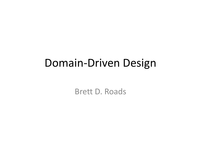#### Domain-Driven Design

Brett D. Roads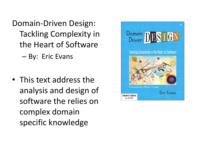Domain-Driven Design: Tackling Complexity in the Heart of Software

– By: Eric Evans

• This text address the analysis and design of software the relies on complex domain specific knowledge

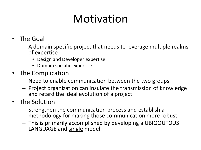## Motivation

- The Goal
	- A domain specific project that needs to leverage multiple realms of expertise
		- Design and Developer expertise
		- Domain specific expertise
- The Complication
	- Need to enable communication between the two groups.
	- Project organization can insulate the transmission of knowledge and retard the ideal evolution of a project
- The Solution
	- Strengthen the communication process and establish a methodology for making those communication more robust
	- This is primarily accomplished by developing a UBIQOUTOUS LANGUAGE and single model.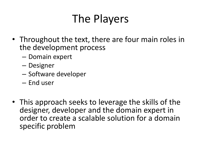## The Players

- Throughout the text, there are four main roles in the development process
	- Domain expert
	- Designer
	- Software developer
	- End user
- This approach seeks to leverage the skills of the designer, developer and the domain expert in order to create a scalable solution for a domain specific problem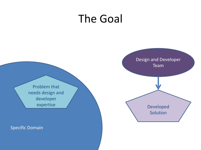#### The Goal



Specific Domain

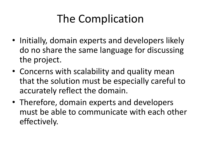## The Complication

- Initially, domain experts and developers likely do no share the same language for discussing the project.
- Concerns with scalability and quality mean that the solution must be especially careful to accurately reflect the domain.
- Therefore, domain experts and developers must be able to communicate with each other effectively.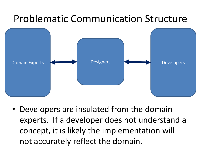#### Problematic Communication Structure



• Developers are insulated from the domain experts. If a developer does not understand a concept, it is likely the implementation will not accurately reflect the domain.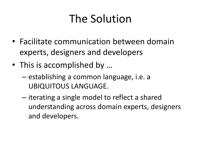## The Solution

- Facilitate communication between domain experts, designers and developers
- This is accomplished by ...
	- establishing a common language, i.e. a UBIQUITOUS LANGUAGE.
	- iterating a single model to reflect a shared understanding across domain experts, designers and developers.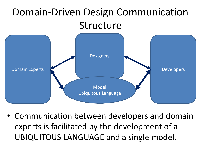#### Domain-Driven Design Communication Structure



• Communication between developers and domain experts is facilitated by the development of a UBIQUITOUS LANGUAGE and a single model.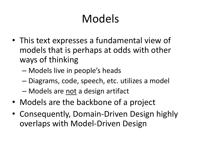## Models

- This text expresses a fundamental view of models that is perhaps at odds with other ways of thinking
	- Models live in people's heads
	- Diagrams, code, speech, etc. utilizes a model
	- Models are not a design artifact
- Models are the backbone of a project
- Consequently, Domain-Driven Design highly overlaps with Model-Driven Design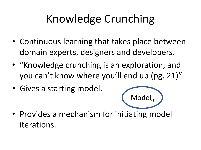## Knowledge Crunching

- Continuous learning that takes place between domain experts, designers and developers.
- "Knowledge crunching is an exploration, and you can't know where you'll end up (pg. 21)"
- Gives a starting model.



• Provides a mechanism for initiating model iterations.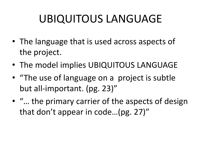## UBIQUITOUS LANGUAGE

- The language that is used across aspects of the project.
- The model implies UBIQUITOUS LANGUAGE
- "The use of language on a project is subtle but all-important. (pg. 23)"
- "… the primary carrier of the aspects of design that don't appear in code…(pg. 27)"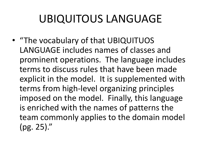## UBIQUITOUS LANGUAGE

• "The vocabulary of that UBIQUITUOS LANGUAGE includes names of classes and prominent operations. The language includes terms to discuss rules that have been made explicit in the model. It is supplemented with terms from high-level organizing principles imposed on the model. Finally, this language is enriched with the names of patterns the team commonly applies to the domain model (pg. 25)."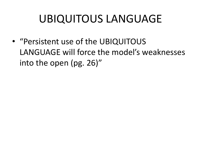### UBIQUITOUS LANGUAGE

• "Persistent use of the UBIQUITOUS LANGUAGE will force the model's weaknesses into the open (pg. 26)"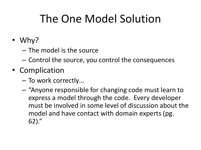## The One Model Solution

- Why?
	- The model is the source
	- Control the source, you control the consequences
- Complication
	- To work correctly…
	- "Anyone responsible for changing code must learn to express a model through the code. Every developer must be involved in some level of discussion about the model and have contact with domain experts (pg. 62)."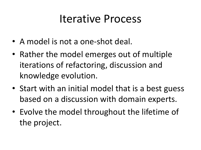#### Iterative Process

- A model is not a one-shot deal.
- Rather the model emerges out of multiple iterations of refactoring, discussion and knowledge evolution.
- Start with an initial model that is a best guess based on a discussion with domain experts.
- Evolve the model throughout the lifetime of the project.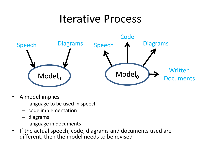#### Iterative Process



- A model implies
	- language to be used in speech
	- code implementation
	- diagrams
	- language in documents
- If the actual speech, code, diagrams and documents used are different, then the model needs to be revised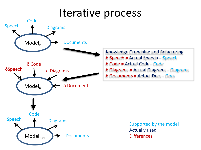#### Iterative process

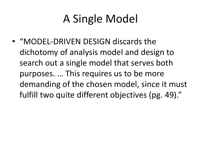## A Single Model

• "MODEL-DRIVEN DESIGN discards the dichotomy of analysis model and design to search out a single model that serves both purposes. … This requires us to be more demanding of the chosen model, since it must fulfill two quite different objectives (pg. 49)."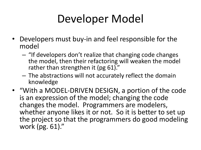## Developer Model

- Developers must buy-in and feel responsible for the model
	- "If developers don't realize that changing code changes the model, then their refactoring will weaken the model rather than strengthen it (pg 61)."
	- The abstractions will not accurately reflect the domain knowledge
- "With a MODEL-DRIVEN DESIGN, a portion of the code is an expression of the model; changing the code changes the model. Programmers are modelers, whether anyone likes it or not. So it is better to set up the project so that the programmers do good modeling work (pg. 61)."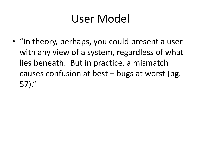## User Model

• "In theory, perhaps, you could present a user with any view of a system, regardless of what lies beneath. But in practice, a mismatch causes confusion at best – bugs at worst (pg. 57)."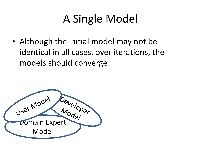## A Single Model

• Although the initial model may not be identical in all cases, over iterations, the models should converge

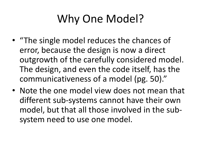# Why One Model?

- "The single model reduces the chances of error, because the design is now a direct outgrowth of the carefully considered model. The design, and even the code itself, has the communicativeness of a model (pg. 50)."
- Note the one model view does not mean that different sub-systems cannot have their own model, but that all those involved in the subsystem need to use one model.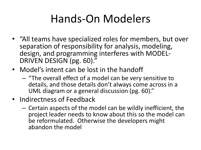### Hands-On Modelers

- "All teams have specialized roles for members, but over separation of responsibility for analysis, modeling, design, and programming interferes with MODEL-DRIVEN DESIGN (pg. 60)."
- Model's intent can be lost in the handoff
	- "The overall effect of a model can be very sensitive to details, and those details don't always come across in a UML diagram or a general discussion (pg. 60)."
- Indirectness of Feedback
	- Certain aspects of the model can be wildly inefficient, the project leader needs to know about this so the model can be reformulated. Otherwise the developers might abandon the model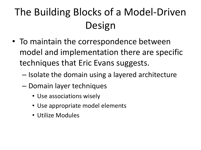## The Building Blocks of a Model-Driven Design

- To maintain the correspondence between model and implementation there are specific techniques that Eric Evans suggests.
	- Isolate the domain using a layered architecture
	- Domain layer techniques
		- Use associations wisely
		- Use appropriate model elements
		- Utilize Modules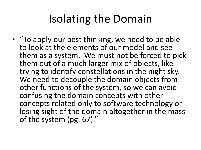### Isolating the Domain

• "To apply our best thinking, we need to be able to look at the elements of our model and see them as a system. We must not be forced to pick them out of a much larger mix of objects, like trying to identify constellations in the night sky. We need to decouple the domain objects from other functions of the system, so we can avoid confusing the domain concepts with other concepts related only to software technology or losing sight of the domain altogether in the mass of the system (pg. 67)."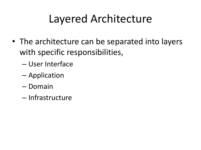## Layered Architecture

- The architecture can be separated into layers with specific responsibilities,
	- User Interface
	- Application
	- Domain
	- Infrastructure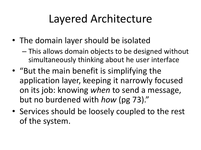## Layered Architecture

- The domain layer should be isolated
	- This allows domain objects to be designed without simultaneously thinking about he user interface
- "But the main benefit is simplifying the application layer, keeping it narrowly focused on its job: knowing *when* to send a message, but no burdened with *how* (pg 73)."
- Services should be loosely coupled to the rest of the system.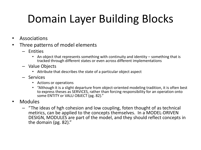# Domain Layer Building Blocks

- Associations
- Three patterns of model elements
	- Entities
		- An object that represents something with continuity and identity something that is tracked through different states or even across different implementations
	- Value Objects
		- Attribute that describes the state of a particular object aspect
	- Services
		- Actions or operations
		- "Although it is a slight departure from object-oriented modeling tradition, it is often best to express theses as SERVICES, rather than forcing responsibility for an operation onto some ENTITY or VALU OBJECT (pg. 82)."
- Modules
	- "The ideas of hgh cohesion and low coupling, foten thought of as technical metirics, can be applied to the concepts themselves. In a MODEL-DRIVEN DESIGN, MODULES are part of the model, and they should reflect concepts in the domain (pg. 82)."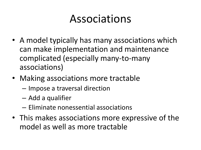#### Associations

- A model typically has many associations which can make implementation and maintenance complicated (especially many-to-many associations)
- Making associations more tractable
	- Impose a traversal direction
	- Add a qualifier
	- Eliminate nonessential associations
- This makes associations more expressive of the model as well as more tractable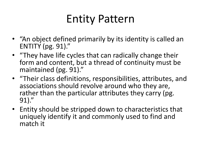## Entity Pattern

- "An object defined primarily by its identity is called an ENTITY (pg. 91)."
- "They have life cycles that can radically change their form and content, but a thread of continuity must be maintained (pg. 91)."
- "Their class definitions, responsibilities, attributes, and associations should revolve around who they are, rather than the particular attributes they carry (pg. 91)."
- Entity should be stripped down to characteristics that uniquely identify it and commonly used to find and match it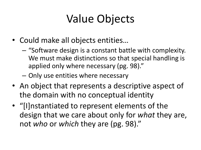## Value Objects

- Could make all objects entities…
	- "Software design is a constant battle with complexity. We must make distinctions so that special handling is applied only where necessary (pg. 98)."
	- Only use entities where necessary
- An object that represents a descriptive aspect of the domain with no conceptual identity
- "[I]nstantiated to represent elements of the design that we care about only for *what* they are, not *who* or *which* they are (pg. 98)."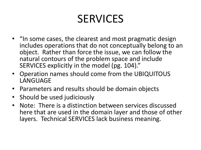## SERVICES

- "In some cases, the clearest and most pragmatic design includes operations that do not conceptually belong to an object. Rather than force the issue, we can follow the natural contours of the problem space and include SERVICES explicitly in the model (pg. 104)."
- Operation names should come from the UBIQUITOUS LANGUAGE
- Parameters and results should be domain objects
- Should be used judiciously
- Note: There is a distinction between services discussed here that are used in the domain layer and those of other layers. Technical SERVICES lack business meaning.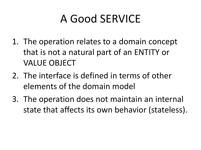## A Good SERVICE

- 1. The operation relates to a domain concept that is not a natural part of an ENTITY or VALUE OBJECT
- 2. The interface is defined in terms of other elements of the domain model
- 3. The operation does not maintain an internal state that affects its own behavior (stateless).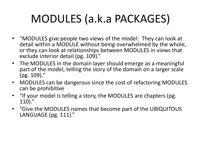## MODULES (a.k.a PACKAGES)

- "MODULES give people two views of the model: They can look at detail within a MODULE without being overwhelmed by the whole, or they can look at relationships between MODULES in views that exclude interior detail (pg. 109)."
- The MODULES in the domain layer should emerge as a meaningful part of the model, telling the story of the domain on a larger scale (pg. 109)."
- MODULES can be dangerous since the cost of refactoring MODULES can be prohibitive
- "If your model is telling a story, the MODULES are chapters (pg. 110)."
- "Give the MODULES names that become part of the UBIQUITOUS LANGUAGE (pg. 111)."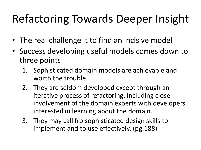# Refactoring Towards Deeper Insight

- The real challenge it to find an incisive model
- Success developing useful models comes down to three points
	- 1. Sophisticated domain models are achievable and worth the trouble
	- 2. They are seldom developed except through an iterative process of refactoring, including close involvement of the domain experts with developers interested in learning about the domain.
	- 3. They may call fro sophisticated design skills to implement and to use effectively. (pg.188)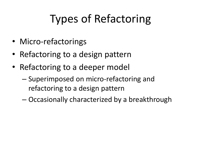# Types of Refactoring

- Micro-refactorings
- Refactoring to a design pattern
- Refactoring to a deeper model
	- Superimposed on micro-refactoring and refactoring to a design pattern
	- Occasionally characterized by a breakthrough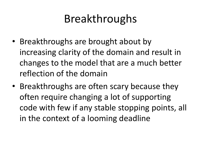#### Breakthroughs

- Breakthroughs are brought about by increasing clarity of the domain and result in changes to the model that are a much better reflection of the domain
- Breakthroughs are often scary because they often require changing a lot of supporting code with few if any stable stopping points, all in the context of a looming deadline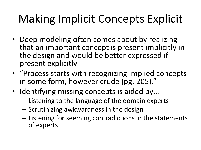# Making Implicit Concepts Explicit

- Deep modeling often comes about by realizing that an important concept is present implicitly in the design and would be better expressed if present explicitly
- "Process starts with recognizing implied concepts in some form, however crude (pg. 205)."
- Identifying missing concepts is aided by...
	- Listening to the language of the domain experts
	- Scrutinizing awkwardness in the design
	- Listening for seeming contradictions in the statements of experts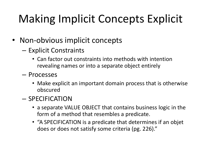# Making Implicit Concepts Explicit

- Non-obvious implicit concepts
	- Explicit Constraints
		- Can factor out constraints into methods with intention revealing names or into a separate object entirely
	- Processes
		- Make explicit an important domain process that is otherwise obscured
	- SPECIFICATION
		- a separate VALUE OBJECT that contains business logic in the form of a method that resembles a predicate.
		- "A SPECIFICATION is a predicate that determines if an objet does or does not satisfy some criteria (pg. 226)."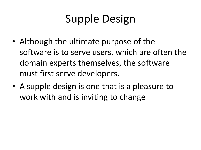# Supple Design

- Although the ultimate purpose of the software is to serve users, which are often the domain experts themselves, the software must first serve developers.
- A supple design is one that is a pleasure to work with and is inviting to change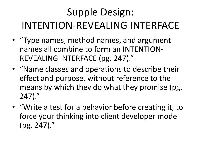## Supple Design: INTENTION-REVEALING INTERFACE

- "Type names, method names, and argument names all combine to form an INTENTION-REVEALING INTERFACE (pg. 247)."
- "Name classes and operations to describe their effect and purpose, without reference to the means by which they do what they promise (pg. 247)."
- "Write a test for a behavior before creating it, to force your thinking into client developer mode (pg. 247)."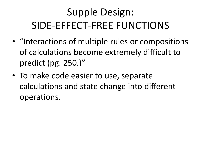## Supple Design: SIDE-EFFECT-FREE FUNCTIONS

- "Interactions of multiple rules or compositions of calculations become extremely difficult to predict (pg. 250.)"
- To make code easier to use, separate calculations and state change into different operations.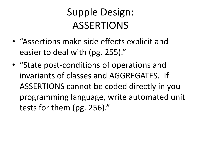#### Supple Design: ASSERTIONS

- "Assertions make side effects explicit and easier to deal with (pg. 255)."
- "State post-conditions of operations and invariants of classes and AGGREGATES. If ASSERTIONS cannot be coded directly in you programming language, write automated unit tests for them (pg. 256)."